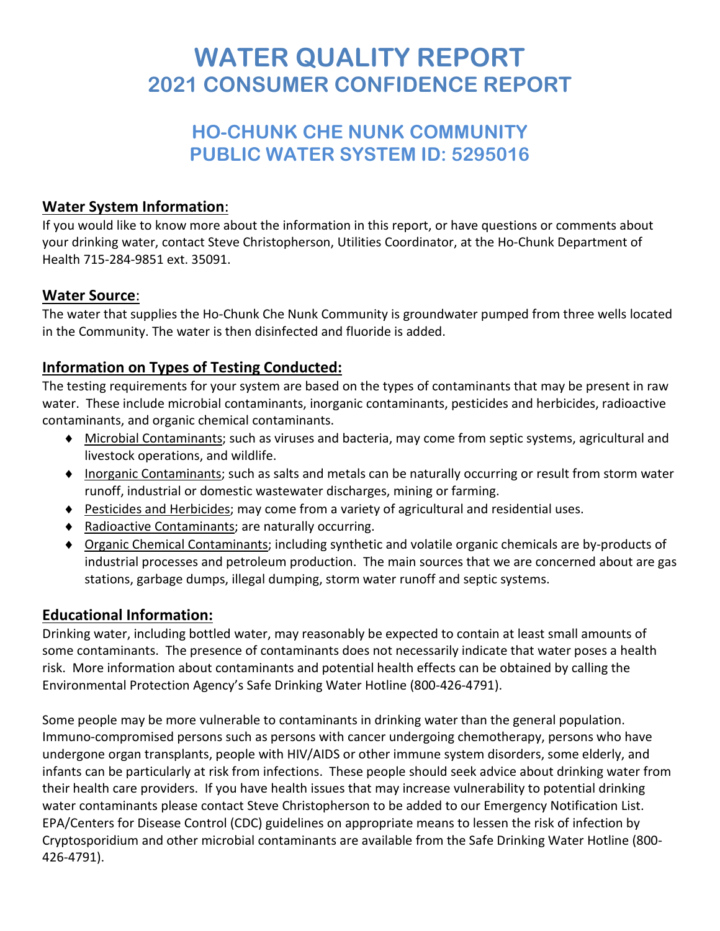# **WATER QUALITY REPORT 2021 CONSUMER CONFIDENCE REPORT**

# **HO-CHUNK CHE NUNK COMMUNITY PUBLIC WATER SYSTEM ID: 5295016**

#### **Water System Information**:

If you would like to know more about the information in this report, or have questions or comments about your drinking water, contact Steve Christopherson, Utilities Coordinator, at the Ho-Chunk Department of Health 715-284-9851 ext. 35091.

#### **Water Source**:

The water that supplies the Ho-Chunk Che Nunk Community is groundwater pumped from three wells located in the Community. The water is then disinfected and fluoride is added.

## **Information on Types of Testing Conducted:**

The testing requirements for your system are based on the types of contaminants that may be present in raw water. These include microbial contaminants, inorganic contaminants, pesticides and herbicides, radioactive contaminants, and organic chemical contaminants.

- ♦ Microbial Contaminants; such as viruses and bacteria, may come from septic systems, agricultural and livestock operations, and wildlife.
- ♦ Inorganic Contaminants; such as salts and metals can be naturally occurring or result from storm water runoff, industrial or domestic wastewater discharges, mining or farming.
- ♦ Pesticides and Herbicides; may come from a variety of agricultural and residential uses.
- ♦ Radioactive Contaminants; are naturally occurring.
- ♦ Organic Chemical Contaminants; including synthetic and volatile organic chemicals are by-products of industrial processes and petroleum production. The main sources that we are concerned about are gas stations, garbage dumps, illegal dumping, storm water runoff and septic systems.

#### **Educational Information:**

Drinking water, including bottled water, may reasonably be expected to contain at least small amounts of some contaminants. The presence of contaminants does not necessarily indicate that water poses a health risk. More information about contaminants and potential health effects can be obtained by calling the Environmental Protection Agency's Safe Drinking Water Hotline (800-426-4791).

Some people may be more vulnerable to contaminants in drinking water than the general population. Immuno-compromised persons such as persons with cancer undergoing chemotherapy, persons who have undergone organ transplants, people with HIV/AIDS or other immune system disorders, some elderly, and infants can be particularly at risk from infections. These people should seek advice about drinking water from their health care providers. If you have health issues that may increase vulnerability to potential drinking water contaminants please contact Steve Christopherson to be added to our Emergency Notification List. EPA/Centers for Disease Control (CDC) guidelines on appropriate means to lessen the risk of infection by Cryptosporidium and other microbial contaminants are available from the Safe Drinking Water Hotline (800- 426-4791).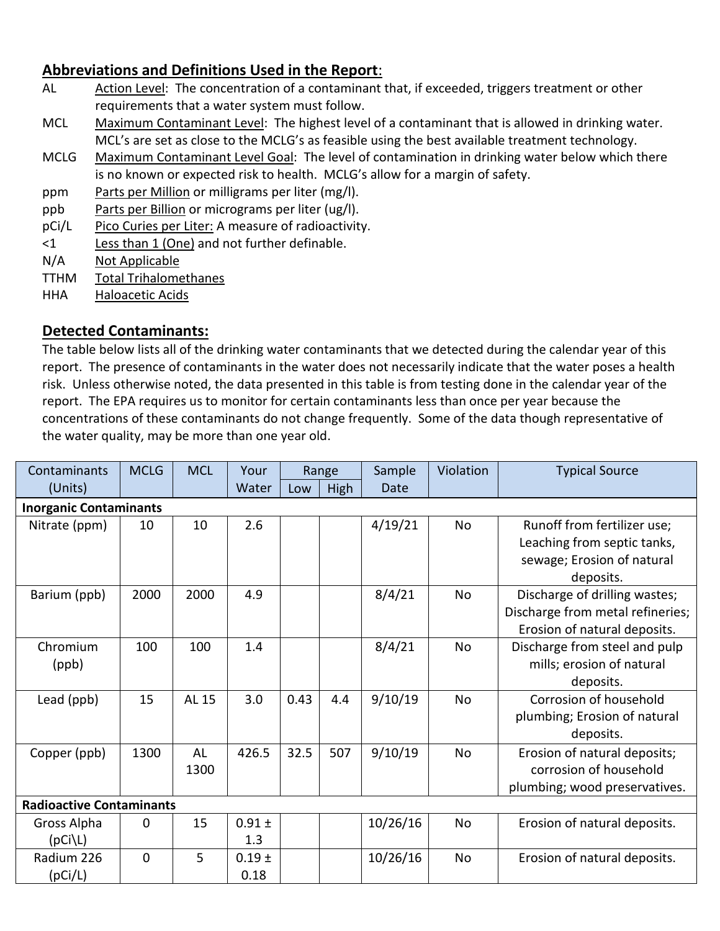### **Abbreviations and Definitions Used in the Report**:

- AL Action Level: The concentration of a contaminant that, if exceeded, triggers treatment or other requirements that a water system must follow.
- MCL Maximum Contaminant Level: The highest level of a contaminant that is allowed in drinking water. MCL's are set as close to the MCLG's as feasible using the best available treatment technology.
- MCLG Maximum Contaminant Level Goal: The level of contamination in drinking water below which there is no known or expected risk to health. MCLG's allow for a margin of safety.
- ppm Parts per Million or milligrams per liter (mg/l).
- ppb Parts per Billion or micrograms per liter (ug/l).
- pCi/L Pico Curies per Liter: A measure of radioactivity.
- <1 Less than 1 (One) and not further definable.
- N/A Not Applicable
- TTHM Total Trihalomethanes
- HHA Haloacetic Acids

#### **Detected Contaminants:**

The table below lists all of the drinking water contaminants that we detected during the calendar year of this report. The presence of contaminants in the water does not necessarily indicate that the water poses a health risk. Unless otherwise noted, the data presented in this table is from testing done in the calendar year of the report. The EPA requires us to monitor for certain contaminants less than once per year because the concentrations of these contaminants do not change frequently. Some of the data though representative of the water quality, may be more than one year old.

| Contaminants                    | <b>MCLG</b>    | <b>MCL</b>        | Your               | Range |      | Sample   | Violation | <b>Typical Source</b>                                                                                 |  |  |  |  |  |
|---------------------------------|----------------|-------------------|--------------------|-------|------|----------|-----------|-------------------------------------------------------------------------------------------------------|--|--|--|--|--|
| (Units)                         |                |                   | Water              | Low   | High | Date     |           |                                                                                                       |  |  |  |  |  |
| <b>Inorganic Contaminants</b>   |                |                   |                    |       |      |          |           |                                                                                                       |  |  |  |  |  |
| Nitrate (ppm)                   | 10             | 10                | 2.6                |       |      | 4/19/21  | <b>No</b> | Runoff from fertilizer use;<br>Leaching from septic tanks,<br>sewage; Erosion of natural<br>deposits. |  |  |  |  |  |
| Barium (ppb)                    | 2000           | 2000              | 4.9                |       |      | 8/4/21   | No        | Discharge of drilling wastes;<br>Discharge from metal refineries;<br>Erosion of natural deposits.     |  |  |  |  |  |
| Chromium<br>(ppb)               | 100            | 100               | 1.4                |       |      | 8/4/21   | <b>No</b> | Discharge from steel and pulp<br>mills; erosion of natural<br>deposits.                               |  |  |  |  |  |
| Lead (ppb)                      | 15             | AL 15             | 3.0                | 0.43  | 4.4  | 9/10/19  | <b>No</b> | Corrosion of household<br>plumbing; Erosion of natural<br>deposits.                                   |  |  |  |  |  |
| Copper (ppb)                    | 1300           | <b>AL</b><br>1300 | 426.5              | 32.5  | 507  | 9/10/19  | <b>No</b> | Erosion of natural deposits;<br>corrosion of household<br>plumbing; wood preservatives.               |  |  |  |  |  |
| <b>Radioactive Contaminants</b> |                |                   |                    |       |      |          |           |                                                                                                       |  |  |  |  |  |
| Gross Alpha<br>$(pCi\L)$        | 0              | 15                | $0.91 \pm$<br>1.3  |       |      | 10/26/16 | No        | Erosion of natural deposits.                                                                          |  |  |  |  |  |
| Radium 226<br>(pCi/L)           | $\overline{0}$ | 5                 | $0.19 \pm$<br>0.18 |       |      | 10/26/16 | No        | Erosion of natural deposits.                                                                          |  |  |  |  |  |